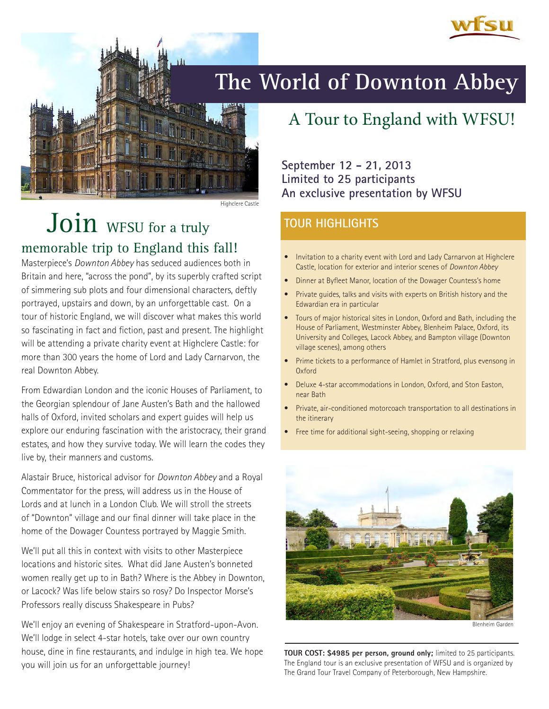

# **The World of Downton Abbey**

Highclere Castle

# Join WFSU for a truly memorable trip to England this fall!

Masterpiece's *Downton Abbey* has seduced audiences both in Britain and here, "across the pond", by its superbly crafted script of simmering sub plots and four dimensional characters, deftly portrayed, upstairs and down, by an unforgettable cast. On a tour of historic England, we will discover what makes this world so fascinating in fact and fiction, past and present. The highlight will be attending a private charity event at Highclere Castle: for more than 300 years the home of Lord and Lady Carnarvon, the real Downton Abbey.

From Edwardian London and the iconic Houses of Parliament, to the Georgian splendour of Jane Austen's Bath and the hallowed halls of Oxford, invited scholars and expert guides will help us explore our enduring fascination with the aristocracy, their grand estates, and how they survive today. We will learn the codes they live by, their manners and customs.

Alastair Bruce, historical advisor for *Downton Abbey* and a Royal Commentator for the press, will address us in the House of Lords and at lunch in a London Club. We will stroll the streets of "Downton" village and our final dinner will take place in the home of the Dowager Countess portrayed by Maggie Smith.

We'll put all this in context with visits to other Masterpiece locations and historic sites. What did Jane Austen's bonneted women really get up to in Bath? Where is the Abbey in Downton, or Lacock? Was life below stairs so rosy? Do Inspector Morse's Professors really discuss Shakespeare in Pubs?

We'll enjoy an evening of Shakespeare in Stratford-upon-Avon. We'll lodge in select 4-star hotels, take over our own country house, dine in fine restaurants, and indulge in high tea. We hope you will join us for an unforgettable journey!

## A Tour to England with WFSU!

**September 12 - 21, 2013 Limited to 25 participants An exclusive presentation by WFSU**

### **TOUR HIGHLIGHTS**

- Invitation to a charity event with Lord and Lady Carnarvon at Highclere Castle, location for exterior and interior scenes of *Downton Abbey*
- Dinner at Byfleet Manor, location of the Dowager Countess's home
- Private guides, talks and visits with experts on British history and the Edwardian era in particular
- Tours of major historical sites in London, Oxford and Bath, including the House of Parliament, Westminster Abbey, Blenheim Palace, Oxford, its University and Colleges, Lacock Abbey, and Bampton village (Downton village scenes), among others
- Prime tickets to a performance of Hamlet in Stratford, plus evensong in **Oxford**
- Deluxe 4-star accommodations in London, Oxford, and Ston Easton, near Bath
- Private, air-conditioned motorcoach transportation to all destinations in the itinerary
- Free time for additional sight-seeing, shopping or relaxing



Blenheim Garden

**TOUR COST: \$4985 per person, ground only;** limited to 25 participants. The England tour is an exclusive presentation of WFSU and is organized by The Grand Tour Travel Company of Peterborough, New Hampshire.